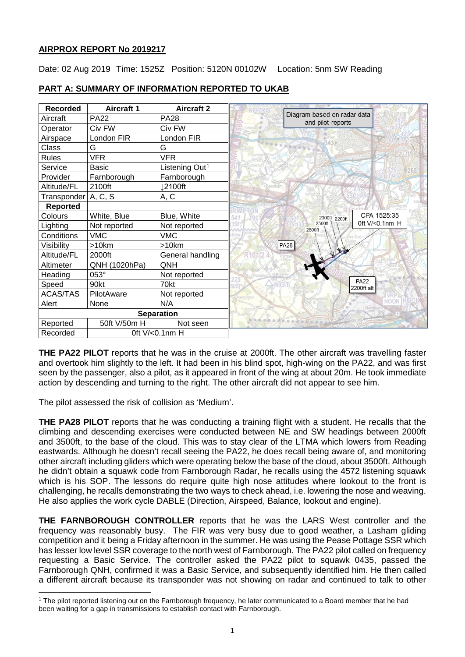# **AIRPROX REPORT No 2019217**

Date: 02 Aug 2019 Time: 1525Z Position: 5120N 00102W Location: 5nm SW Reading

| <b>Recorded</b>   | <b>Aircraft 1</b> | <b>Aircraft 2</b>          |                                                  |
|-------------------|-------------------|----------------------------|--------------------------------------------------|
| Aircraft          | <b>PA22</b>       | <b>PA28</b>                | Diagram based on radar data<br>and pilot reports |
| Operator          | Civ FW            | Civ FW                     |                                                  |
| Airspace          | London FIR        | London FIR                 | 343/                                             |
| Class             | G                 | G                          |                                                  |
| Rules             | <b>VFR</b>        | <b>VFR</b>                 |                                                  |
| Service           | <b>Basic</b>      | Listening Out <sup>1</sup> |                                                  |
| Provider          | Farnborough       | Farnborough                |                                                  |
| Altitude/FL       | 2100ft            | 12100ft                    |                                                  |
| Transponder       | A, C, S           | A, C                       |                                                  |
| <b>Reported</b>   |                   |                            |                                                  |
| Colours           | White, Blue       | Blue, White                | CPA 1525:35<br>2300ft 2200ft                     |
| Lighting          | Not reported      | Not reported               | 0ft V/<0.1nm H<br>2500ft<br>2800ft               |
| Conditions        | <b>VMC</b>        | <b>VMC</b>                 |                                                  |
| Visibility        | >10km             | >10km                      | PA28                                             |
| Altitude/FL       | 2000ft            | General handling           | Vit                                              |
| Altimeter         | QNH (1020hPa)     | QNH                        |                                                  |
| Heading           | 053°              | Not reported               |                                                  |
| Speed             | 90kt              | 70kt                       | <b>PA22</b><br>2200ft alt                        |
| <b>ACAS/TAS</b>   | PilotAware        | Not reported               | annington                                        |
| Alert             | None              | N/A                        | HOOK                                             |
| <b>Separation</b> |                   |                            |                                                  |
| Reported          | 50ft V/50m H      | Not seen                   |                                                  |
| Recorded          | 0ft V/<0.1nm H    |                            |                                                  |

# **PART A: SUMMARY OF INFORMATION REPORTED TO UKAB**

**THE PA22 PILOT** reports that he was in the cruise at 2000ft. The other aircraft was travelling faster and overtook him slightly to the left. It had been in his blind spot, high-wing on the PA22, and was first seen by the passenger, also a pilot, as it appeared in front of the wing at about 20m. He took immediate action by descending and turning to the right. The other aircraft did not appear to see him.

The pilot assessed the risk of collision as 'Medium'.

 $\overline{\phantom{a}}$ 

**THE PA28 PILOT** reports that he was conducting a training flight with a student. He recalls that the climbing and descending exercises were conducted between NE and SW headings between 2000ft and 3500ft, to the base of the cloud. This was to stay clear of the LTMA which lowers from Reading eastwards. Although he doesn't recall seeing the PA22, he does recall being aware of, and monitoring other aircraft including gliders which were operating below the base of the cloud, about 3500ft. Although he didn't obtain a squawk code from Farnborough Radar, he recalls using the 4572 listening squawk which is his SOP. The lessons do require quite high nose attitudes where lookout to the front is challenging, he recalls demonstrating the two ways to check ahead, i.e. lowering the nose and weaving. He also applies the work cycle DABLE (Direction, Airspeed, Balance, lookout and engine).

**THE FARNBOROUGH CONTROLLER** reports that he was the LARS West controller and the frequency was reasonably busy. The FIR was very busy due to good weather, a Lasham gliding competition and it being a Friday afternoon in the summer. He was using the Pease Pottage SSR which has lesser low level SSR coverage to the north west of Farnborough. The PA22 pilot called on frequency requesting a Basic Service. The controller asked the PA22 pilot to squawk 0435, passed the Farnborough QNH, confirmed it was a Basic Service, and subsequently identified him. He then called a different aircraft because its transponder was not showing on radar and continued to talk to other

<span id="page-0-0"></span><sup>1</sup> The pilot reported listening out on the Farnborough frequency, he later communicated to a Board member that he had been waiting for a gap in transmissions to establish contact with Farnborough.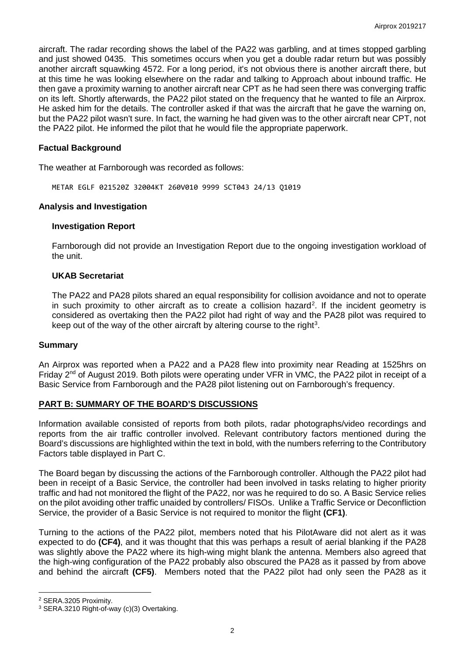aircraft. The radar recording shows the label of the PA22 was garbling, and at times stopped garbling and just showed 0435. This sometimes occurs when you get a double radar return but was possibly another aircraft squawking 4572. For a long period, it's not obvious there is another aircraft there, but at this time he was looking elsewhere on the radar and talking to Approach about inbound traffic. He then gave a proximity warning to another aircraft near CPT as he had seen there was converging traffic on its left. Shortly afterwards, the PA22 pilot stated on the frequency that he wanted to file an Airprox. He asked him for the details. The controller asked if that was the aircraft that he gave the warning on, but the PA22 pilot wasn't sure. In fact, the warning he had given was to the other aircraft near CPT, not the PA22 pilot. He informed the pilot that he would file the appropriate paperwork.

## **Factual Background**

The weather at Farnborough was recorded as follows:

METAR EGLF 021520Z 32004KT 260V010 9999 SCT043 24/13 Q1019

## **Analysis and Investigation**

#### **Investigation Report**

Farnborough did not provide an Investigation Report due to the ongoing investigation workload of the unit.

## **UKAB Secretariat**

The PA22 and PA28 pilots shared an equal responsibility for collision avoidance and not to operate in such proximity to other aircraft as to create a collision hazard<sup>[2](#page-1-0)</sup>. If the incident geometry is considered as overtaking then the PA22 pilot had right of way and the PA28 pilot was required to keep out of the way of the other aircraft by altering course to the right<sup>[3](#page-1-1)</sup>.

#### **Summary**

An Airprox was reported when a PA22 and a PA28 flew into proximity near Reading at 1525hrs on Friday 2<sup>nd</sup> of August 2019. Both pilots were operating under VFR in VMC, the PA22 pilot in receipt of a Basic Service from Farnborough and the PA28 pilot listening out on Farnborough's frequency.

# **PART B: SUMMARY OF THE BOARD'S DISCUSSIONS**

Information available consisted of reports from both pilots, radar photographs/video recordings and reports from the air traffic controller involved. Relevant contributory factors mentioned during the Board's discussions are highlighted within the text in bold, with the numbers referring to the Contributory Factors table displayed in Part C.

The Board began by discussing the actions of the Farnborough controller. Although the PA22 pilot had been in receipt of a Basic Service, the controller had been involved in tasks relating to higher priority traffic and had not monitored the flight of the PA22, nor was he required to do so. A Basic Service relies on the pilot avoiding other traffic unaided by controllers/ FISOs. Unlike a Traffic Service or Deconfliction Service, the provider of a Basic Service is not required to monitor the flight **(CF1)**.

Turning to the actions of the PA22 pilot, members noted that his PilotAware did not alert as it was expected to do **(CF4)**, and it was thought that this was perhaps a result of aerial blanking if the PA28 was slightly above the PA22 where its high-wing might blank the antenna. Members also agreed that the high-wing configuration of the PA22 probably also obscured the PA28 as it passed by from above and behind the aircraft **(CF5)**. Members noted that the PA22 pilot had only seen the PA28 as it

 $\overline{\phantom{a}}$ 

<span id="page-1-0"></span><sup>2</sup> SERA.3205 Proximity.

<span id="page-1-1"></span><sup>3</sup> SERA.3210 Right-of-way (c)(3) Overtaking.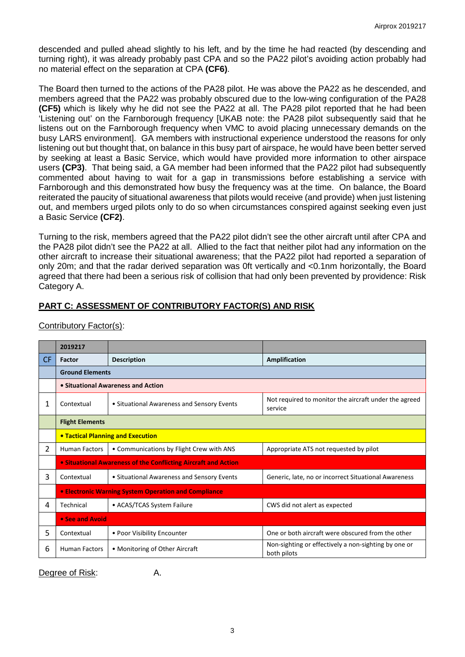descended and pulled ahead slightly to his left, and by the time he had reacted (by descending and turning right), it was already probably past CPA and so the PA22 pilot's avoiding action probably had no material effect on the separation at CPA **(CF6)**.

The Board then turned to the actions of the PA28 pilot. He was above the PA22 as he descended, and members agreed that the PA22 was probably obscured due to the low-wing configuration of the PA28 **(CF5)** which is likely why he did not see the PA22 at all. The PA28 pilot reported that he had been 'Listening out' on the Farnborough frequency [UKAB note: the PA28 pilot subsequently said that he listens out on the Farnborough frequency when VMC to avoid placing unnecessary demands on the busy LARS environment]. GA members with instructional experience understood the reasons for only listening out but thought that, on balance in this busy part of airspace, he would have been better served by seeking at least a Basic Service, which would have provided more information to other airspace users **(CP3)**. That being said, a GA member had been informed that the PA22 pilot had subsequently commented about having to wait for a gap in transmissions before establishing a service with Farnborough and this demonstrated how busy the frequency was at the time. On balance, the Board reiterated the paucity of situational awareness that pilots would receive (and provide) when just listening out, and members urged pilots only to do so when circumstances conspired against seeking even just a Basic Service **(CF2)**.

Turning to the risk, members agreed that the PA22 pilot didn't see the other aircraft until after CPA and the PA28 pilot didn't see the PA22 at all. Allied to the fact that neither pilot had any information on the other aircraft to increase their situational awareness; that the PA22 pilot had reported a separation of only 20m; and that the radar derived separation was 0ft vertically and <0.1nm horizontally, the Board agreed that there had been a serious risk of collision that had only been prevented by providence: Risk Category A.

# **PART C: ASSESSMENT OF CONTRIBUTORY FACTOR(S) AND RISK**

|           | 2019217                                                        |                                            |                                                                     |  |  |
|-----------|----------------------------------------------------------------|--------------------------------------------|---------------------------------------------------------------------|--|--|
| <b>CF</b> | <b>Factor</b>                                                  | <b>Description</b>                         | Amplification                                                       |  |  |
|           | <b>Ground Elements</b>                                         |                                            |                                                                     |  |  |
|           | • Situational Awareness and Action                             |                                            |                                                                     |  |  |
| 1         | Contextual                                                     | • Situational Awareness and Sensory Events | Not required to monitor the aircraft under the agreed<br>service    |  |  |
|           | <b>Flight Elements</b>                                         |                                            |                                                                     |  |  |
|           | <b>• Tactical Planning and Execution</b>                       |                                            |                                                                     |  |  |
| 2         | <b>Human Factors</b>                                           | • Communications by Flight Crew with ANS   | Appropriate ATS not requested by pilot                              |  |  |
|           | • Situational Awareness of the Conflicting Aircraft and Action |                                            |                                                                     |  |  |
| 3         | Contextual                                                     | • Situational Awareness and Sensory Events | Generic, late, no or incorrect Situational Awareness                |  |  |
|           | • Electronic Warning System Operation and Compliance           |                                            |                                                                     |  |  |
| 4         | Technical                                                      | • ACAS/TCAS System Failure                 | CWS did not alert as expected                                       |  |  |
|           | • See and Avoid                                                |                                            |                                                                     |  |  |
| 5         | Contextual                                                     | • Poor Visibility Encounter                | One or both aircraft were obscured from the other                   |  |  |
| 6         | <b>Human Factors</b>                                           | • Monitoring of Other Aircraft             | Non-sighting or effectively a non-sighting by one or<br>both pilots |  |  |

Contributory Factor(s):

Degree of Risk: A.